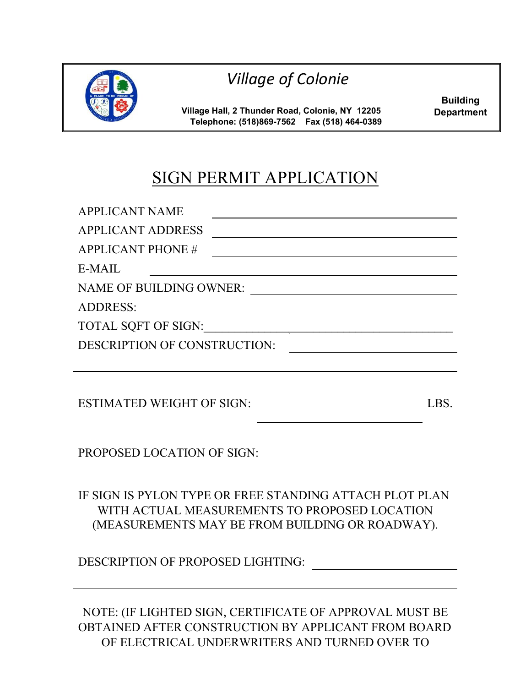

*Village of Colonie* 

**Village Hall, 2 Thunder Road, Colonie, NY 12205 Telephone: (518)869-7562 Fax (518) 464-0389** 

**Building Department**

## SIGN PERMIT APPLICATION

| <b>APPLICANT NAME</b>          |  |
|--------------------------------|--|
| <b>APPLICANT ADDRESS</b>       |  |
| <b>APPLICANT PHONE #</b>       |  |
| E-MAIL                         |  |
| <b>NAME OF BUILDING OWNER:</b> |  |
| <b>ADDRESS:</b>                |  |
| TOTAL SQFT OF SIGN:            |  |
| DESCRIPTION OF CONSTRUCTION:   |  |
|                                |  |
|                                |  |

ESTIMATED WEIGHT OF SIGN: LBS.

PROPOSED LOCATION OF SIGN:

IF SIGN IS PYLON TYPE OR FREE STANDING ATTACH PLOT PLAN WITH ACTUAL MEASUREMENTS TO PROPOSED LOCATION (MEASUREMENTS MAY BE FROM BUILDING OR ROADWAY).

DESCRIPTION OF PROPOSED LIGHTING:

NOTE: (IF LIGHTED SIGN, CERTIFICATE OF APPROVAL MUST BE OBTAINED AFTER CONSTRUCTION BY APPLICANT FROM BOARD OF ELECTRICAL UNDERWRITERS AND TURNED OVER TO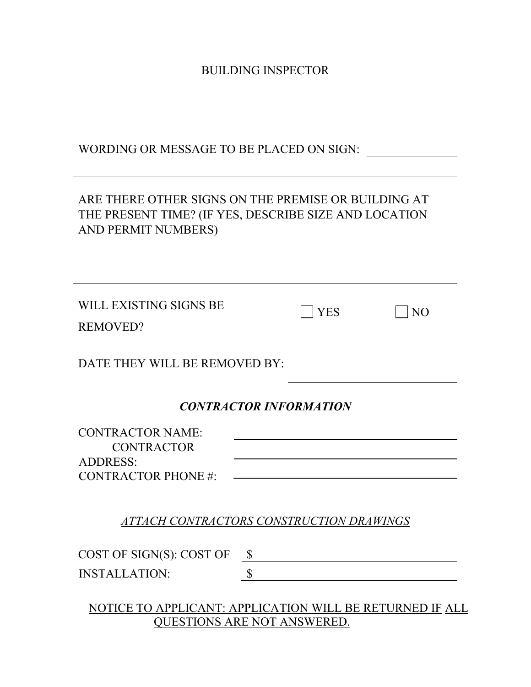BUILDING INSPECTOR

WORDING OR MESSAGE TO BE PLACED ON SIGN:

## ARE THERE OTHER SIGNS ON THE PREMISE OR BUILDING AT THE PRESENT TIME? (IF YES, DESCRIBE SIZE AND LOCATION AND PERMIT NUMBERS)

| WILL EXISTING SIGNS BE<br><b>REMOVED?</b>                                                      |               | <b>YES</b> | NO |  |  |
|------------------------------------------------------------------------------------------------|---------------|------------|----|--|--|
| DATE THEY WILL BE REMOVED BY:                                                                  |               |            |    |  |  |
| <b>CONTRACTOR INFORMATION</b>                                                                  |               |            |    |  |  |
| <b>CONTRACTOR NAME:</b><br><b>CONTRACTOR</b><br><b>ADDRESS:</b><br><b>CONTRACTOR PHONE#:</b>   |               |            |    |  |  |
| ATTACH CONTRACTORS CONSTRUCTION DRAWINGS                                                       |               |            |    |  |  |
| COST OF SIGN(S): COST OF                                                                       | $\mathcal{S}$ |            |    |  |  |
| <b>INSTALLATION:</b>                                                                           | \$            |            |    |  |  |
| NOTICE TO APPLICANT: APPLICATION WILL BE RETURNED IF ALL<br><b>QUESTIONS ARE NOT ANSWERED.</b> |               |            |    |  |  |